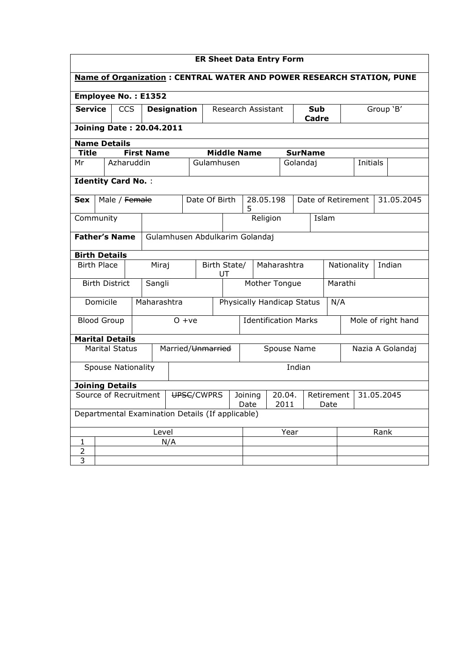| <b>ER Sheet Data Entry Form</b>                                       |                                                    |                       |  |                                |                                                         |               |                    |                            |                |                             |  |         |                |                       |  |  |                 |            |  |  |
|-----------------------------------------------------------------------|----------------------------------------------------|-----------------------|--|--------------------------------|---------------------------------------------------------|---------------|--------------------|----------------------------|----------------|-----------------------------|--|---------|----------------|-----------------------|--|--|-----------------|------------|--|--|
| Name of Organization : CENTRAL WATER AND POWER RESEARCH STATION, PUNE |                                                    |                       |  |                                |                                                         |               |                    |                            |                |                             |  |         |                |                       |  |  |                 |            |  |  |
| <b>Employee No.: E1352</b>                                            |                                                    |                       |  |                                |                                                         |               |                    |                            |                |                             |  |         |                |                       |  |  |                 |            |  |  |
|                                                                       | <b>Service</b><br><b>CCS</b><br><b>Designation</b> |                       |  | Research Assistant             |                                                         |               |                    | Sub<br>Cadre               |                |                             |  |         |                | Group 'B'             |  |  |                 |            |  |  |
| <b>Joining Date: 20.04.2011</b>                                       |                                                    |                       |  |                                |                                                         |               |                    |                            |                |                             |  |         |                |                       |  |  |                 |            |  |  |
| <b>Name Details</b>                                                   |                                                    |                       |  |                                |                                                         |               |                    |                            |                |                             |  |         |                |                       |  |  |                 |            |  |  |
| <b>Title</b>                                                          |                                                    |                       |  | <b>First Name</b>              |                                                         |               |                    | <b>Middle Name</b>         |                |                             |  |         | <b>SurName</b> |                       |  |  |                 |            |  |  |
| Mr                                                                    |                                                    | Azharuddin            |  |                                |                                                         |               | Gulamhusen         |                            |                |                             |  |         | Golandaj       |                       |  |  | <b>Initials</b> |            |  |  |
| <b>Identity Card No.:</b>                                             |                                                    |                       |  |                                |                                                         |               |                    |                            |                |                             |  |         |                |                       |  |  |                 |            |  |  |
| Male / Female<br><b>Sex</b>                                           |                                                    |                       |  |                                |                                                         | Date Of Birth |                    |                            | 28.05.198<br>5 |                             |  |         |                | Date of Retirement    |  |  |                 | 31.05.2045 |  |  |
| Community                                                             |                                                    |                       |  |                                |                                                         |               |                    | Religion                   |                | Islam                       |  |         |                |                       |  |  |                 |            |  |  |
| <b>Father's Name</b>                                                  |                                                    |                       |  | Gulamhusen Abdulkarim Golandaj |                                                         |               |                    |                            |                |                             |  |         |                |                       |  |  |                 |            |  |  |
| <b>Birth Details</b>                                                  |                                                    |                       |  |                                |                                                         |               |                    |                            |                |                             |  |         |                |                       |  |  |                 |            |  |  |
| <b>Birth Place</b>                                                    |                                                    |                       |  | Miraj                          |                                                         |               | Birth State/<br>UT |                            |                | Maharashtra                 |  |         |                | Indian<br>Nationality |  |  |                 |            |  |  |
|                                                                       |                                                    | <b>Birth District</b> |  | Sangli                         |                                                         |               |                    | Mother Tongue              |                |                             |  | Marathi |                |                       |  |  |                 |            |  |  |
|                                                                       | Domicile                                           |                       |  | Maharashtra                    |                                                         |               |                    | Physically Handicap Status |                |                             |  |         |                | N/A                   |  |  |                 |            |  |  |
| <b>Blood Group</b>                                                    |                                                    |                       |  |                                |                                                         | $0 + ve$      |                    |                            |                | <b>Identification Marks</b> |  |         |                | Mole of right hand    |  |  |                 |            |  |  |
| <b>Marital Details</b>                                                |                                                    |                       |  |                                |                                                         |               |                    |                            |                |                             |  |         |                |                       |  |  |                 |            |  |  |
| <b>Marital Status</b>                                                 |                                                    |                       |  |                                | Married/ <del>Unmarried</del>                           |               |                    |                            | Spouse Name    |                             |  |         |                | Nazia A Golandaj      |  |  |                 |            |  |  |
| <b>Spouse Nationality</b>                                             |                                                    |                       |  |                                |                                                         | Indian        |                    |                            |                |                             |  |         |                |                       |  |  |                 |            |  |  |
| <b>Joining Details</b>                                                |                                                    |                       |  |                                |                                                         |               |                    |                            |                |                             |  |         |                |                       |  |  |                 |            |  |  |
| Source of Recruitment<br>UPSC/CWPRS                                   |                                                    |                       |  |                                | Joining<br>20.04.<br>Retirement<br>Date<br>2011<br>Date |               |                    |                            | 31.05.2045     |                             |  |         |                |                       |  |  |                 |            |  |  |
| Departmental Examination Details (If applicable)                      |                                                    |                       |  |                                |                                                         |               |                    |                            |                |                             |  |         |                |                       |  |  |                 |            |  |  |
| Level                                                                 |                                                    |                       |  |                                |                                                         |               |                    |                            | Year           |                             |  |         | Rank           |                       |  |  |                 |            |  |  |
| 1                                                                     | N/A                                                |                       |  |                                |                                                         |               |                    |                            |                |                             |  |         |                |                       |  |  |                 |            |  |  |
| 2<br>3                                                                |                                                    |                       |  |                                |                                                         |               |                    |                            |                |                             |  |         |                |                       |  |  |                 |            |  |  |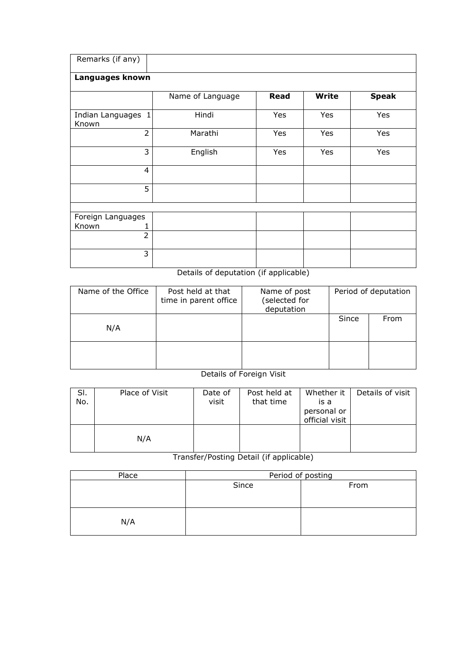| Remarks (if any)            |                  |      |              |              |
|-----------------------------|------------------|------|--------------|--------------|
| Languages known             |                  |      |              |              |
|                             | Name of Language | Read | <b>Write</b> | <b>Speak</b> |
| Indian Languages 1<br>Known | Hindi            | Yes  | Yes          | Yes          |
| $\overline{2}$              | Marathi          | Yes  | Yes          | Yes          |
| 3                           | English          | Yes  | Yes          | Yes          |
| 4                           |                  |      |              |              |
| 5                           |                  |      |              |              |
|                             |                  |      |              |              |
| Foreign Languages           |                  |      |              |              |
| Known                       |                  |      |              |              |
| $\overline{2}$              |                  |      |              |              |
| 3                           |                  |      |              |              |

Details of deputation (if applicable)

| Name of the Office | Post held at that<br>time in parent office | Name of post<br>(selected for<br>deputation |       | Period of deputation |
|--------------------|--------------------------------------------|---------------------------------------------|-------|----------------------|
| N/A                |                                            |                                             | Since | From                 |
|                    |                                            |                                             |       |                      |

## Details of Foreign Visit

| SI.<br>No. | Place of Visit | Date of<br>visit | Post held at<br>that time | Whether it<br>is a<br>personal or<br>official visit | Details of visit |
|------------|----------------|------------------|---------------------------|-----------------------------------------------------|------------------|
|            | N/A            |                  |                           |                                                     |                  |

Transfer/Posting Detail (if applicable)

| Place | Period of posting |      |  |  |  |  |  |
|-------|-------------------|------|--|--|--|--|--|
|       | Since             | From |  |  |  |  |  |
|       |                   |      |  |  |  |  |  |
|       |                   |      |  |  |  |  |  |
|       |                   |      |  |  |  |  |  |
| N/A   |                   |      |  |  |  |  |  |
|       |                   |      |  |  |  |  |  |